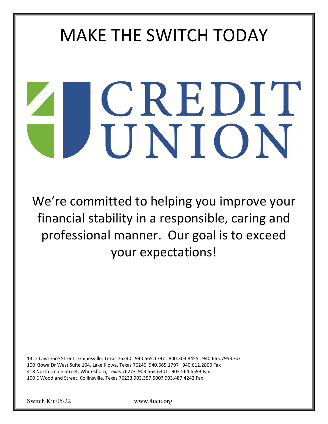# MAKE THE SWITCH TODAY

# CREDIT UNION

We're committed to helping you improve your financial stability in a responsible, caring and professional manner. Our goal is to exceed your expectations!

1312 Lawrence Street . Gainesville, Texas 76240 . 940.665.1797 . 800.303.8455 . 940.665.7953 Fax 100 Kiowa Dr West Suite 104, Lake Kiowa, Texas 76240 940.665.1797 940.612.2800 Fax 418 North Union Street, Whitesboro, Texas 76273 903.564.6301 903.564.6593 Fax 100 E Woodland Street, Collinsville, Texas 76233 903.357.5007 903.487.4242 Fax

Switch Kit 05/22 www.4ucu.org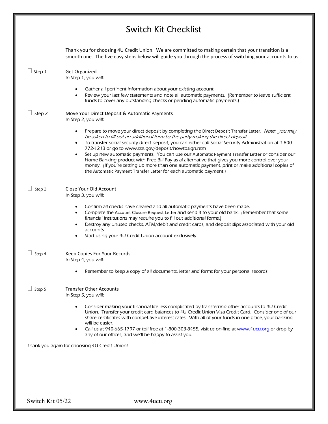### Switch Kit Checklist

|               | Thank you for choosing 4U Credit Union. We are committed to making certain that your transition is a<br>smooth one. The five easy steps below will guide you through the process of switching your accounts to us.                                                                                                                                                                                                                                                                                                                                                                                                                                                                                                                                                                |
|---------------|-----------------------------------------------------------------------------------------------------------------------------------------------------------------------------------------------------------------------------------------------------------------------------------------------------------------------------------------------------------------------------------------------------------------------------------------------------------------------------------------------------------------------------------------------------------------------------------------------------------------------------------------------------------------------------------------------------------------------------------------------------------------------------------|
| $\Box$ Step 1 | Get Organized<br>In Step 1, you will:                                                                                                                                                                                                                                                                                                                                                                                                                                                                                                                                                                                                                                                                                                                                             |
|               | Gather all pertinent information about your existing account.<br>Review your last few statements and note all automatic payments. (Remember to leave sufficient<br>$\bullet$<br>funds to cover any outstanding checks or pending automatic payments.)                                                                                                                                                                                                                                                                                                                                                                                                                                                                                                                             |
| $\Box$ Step 2 | Move Your Direct Deposit & Automatic Payments<br>In Step 2, you will:                                                                                                                                                                                                                                                                                                                                                                                                                                                                                                                                                                                                                                                                                                             |
|               | Prepare to move your direct deposit by completing the Direct Deposit Transfer Letter. Note: you may<br>$\bullet$<br>be asked to fill out an additional form by the party making the direct deposit.<br>To transfer social security direct deposit, you can either call Social Security Administration at 1-800-<br>$\bullet$<br>772-1213 or go to www.ssa.gov/deposit/howtosign.htm<br>Set up new automatic payments. You can use our Automatic Payment Transfer Letter or consider our<br>$\bullet$<br>Home Banking product with Free Bill Pay as al alternative that gives you more control over your<br>money. (If you're setting up more than one automatic payment, print or make additional copies of<br>the Automatic Payment Transfer Letter for each automatic payment.) |
| $\Box$ Step 3 | Close Your Old Account<br>In Step 3, you will:                                                                                                                                                                                                                                                                                                                                                                                                                                                                                                                                                                                                                                                                                                                                    |
|               | Confirm all checks have cleared and all automatic payments have been made.<br>Complete the Account Closure Request Letter and send it to your old bank. (Remember that some<br>$\bullet$<br>financial institutions may require you to fill out additional forms.)<br>Destroy any unused checks, ATM/debit and credit cards, and deposit slips associated with your old<br>$\bullet$<br>accounts.<br>Start using your 4U Credit Union account exclusively.<br>$\bullet$                                                                                                                                                                                                                                                                                                            |
| $\Box$ Step 4 | Keep Copies For Your Records<br>In Step 4, you will:                                                                                                                                                                                                                                                                                                                                                                                                                                                                                                                                                                                                                                                                                                                              |
|               | Remember to keep a copy of all documents, letter and forms for your personal records.                                                                                                                                                                                                                                                                                                                                                                                                                                                                                                                                                                                                                                                                                             |
| $\Box$ Step 5 | Transfer Other Accounts<br>In Step 5, you will:                                                                                                                                                                                                                                                                                                                                                                                                                                                                                                                                                                                                                                                                                                                                   |
|               | Consider making your financial life less complicated by transferring other accounts to 4U Credit<br>Union. Transfer your credit card balances to 4U Credit Union Visa Credit Card. Consider one of our<br>share certificates with competitive interest rates. With all of your funds in one place, your banking<br>will be easier.<br>Call us at 940-665-1797 or toll free at 1-800-303-8455, visit us on-line at www.4ucu.org or drop by<br>٠<br>any of our offices, and we'll be happy to assist you.                                                                                                                                                                                                                                                                           |
|               | Thank you again for choosing 4U Credit Union!                                                                                                                                                                                                                                                                                                                                                                                                                                                                                                                                                                                                                                                                                                                                     |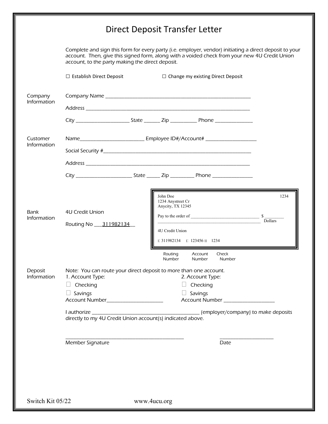## Direct Deposit Transfer Letter

Complete and sign this form for every party (i.e. employer, vendor) initiating a direct deposit to your account. Then, give this signed form, along with a voided check from your new 4U Credit Union account, to the party making the direct deposit.

|                        | □ Establish Direct Deposit                                                                                                                                        |  |                                                                       | $\Box$ Change my existing Direct Deposit |                                                       |                                     |
|------------------------|-------------------------------------------------------------------------------------------------------------------------------------------------------------------|--|-----------------------------------------------------------------------|------------------------------------------|-------------------------------------------------------|-------------------------------------|
| Company<br>Information |                                                                                                                                                                   |  |                                                                       |                                          |                                                       |                                     |
|                        |                                                                                                                                                                   |  |                                                                       |                                          |                                                       |                                     |
|                        |                                                                                                                                                                   |  |                                                                       |                                          |                                                       |                                     |
| Customer               |                                                                                                                                                                   |  |                                                                       |                                          |                                                       |                                     |
| Information            |                                                                                                                                                                   |  |                                                                       |                                          |                                                       |                                     |
|                        |                                                                                                                                                                   |  |                                                                       |                                          |                                                       |                                     |
|                        |                                                                                                                                                                   |  |                                                                       |                                          |                                                       |                                     |
| Bank<br>Information    | 4U Credit Union<br>Routing No 311982134                                                                                                                           |  | John Doe<br>1234 Anystreet Cr<br>Anycity, TX 12345<br>4U Credit Union | : 311982134  : 123456    1234            | Pay to the order of $\frac{\text{S}}{\text{Dollars}}$ | 1234                                |
|                        |                                                                                                                                                                   |  | Routing<br>Number                                                     | Account<br><b>Number</b>                 | Check<br>Number                                       |                                     |
| Deposit<br>Information | Note: You can route your direct deposit to more than one account.<br>1. Account Type:<br>$\Box$ Checking<br>$\Box$ Savings<br>Account Number_____________________ |  |                                                                       | 2. Account Type:<br>Checking<br>Savings  | Account Number ___________________                    |                                     |
|                        | I authorize<br>directly to my 4U Credit Union account(s) indicated above.                                                                                         |  |                                                                       |                                          |                                                       | (employer/company) to make deposits |
|                        | Member Signature                                                                                                                                                  |  |                                                                       |                                          | Date                                                  |                                     |
|                        |                                                                                                                                                                   |  |                                                                       |                                          |                                                       |                                     |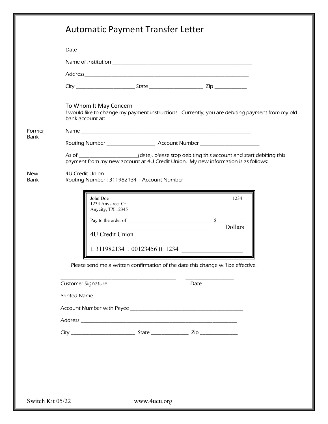|                       | To Whom It May Concern<br>I would like to change my payment instructions. Currently, you are debiting payment from my old<br>bank account at:                                                                          |  |  |  |  |  |
|-----------------------|------------------------------------------------------------------------------------------------------------------------------------------------------------------------------------------------------------------------|--|--|--|--|--|
| Former<br><b>Bank</b> |                                                                                                                                                                                                                        |  |  |  |  |  |
|                       |                                                                                                                                                                                                                        |  |  |  |  |  |
|                       | As of ____________________(date), please stop debiting this account and start debiting this<br>payment from my new account at 4U Credit Union. My new information is as follows:                                       |  |  |  |  |  |
| <b>New</b><br>Bank    | 4U Credit Union                                                                                                                                                                                                        |  |  |  |  |  |
|                       | John Doe<br>1234<br>1234 Anystreet Cr<br>Anycity, TX 12345<br>Dollars<br><u> 1989 - Johann Barn, mars ar breithinn ar chwaraeth a bhaile ann an t-</u><br>4U Credit Union<br>$\mid$ : 311982134 : 00123456 $\mid$ 1234 |  |  |  |  |  |
|                       | Please send me a written confirmation of the date this change will be effective.                                                                                                                                       |  |  |  |  |  |
|                       | <b>Customer Signature</b><br>Date                                                                                                                                                                                      |  |  |  |  |  |
|                       |                                                                                                                                                                                                                        |  |  |  |  |  |
|                       |                                                                                                                                                                                                                        |  |  |  |  |  |
|                       |                                                                                                                                                                                                                        |  |  |  |  |  |
|                       |                                                                                                                                                                                                                        |  |  |  |  |  |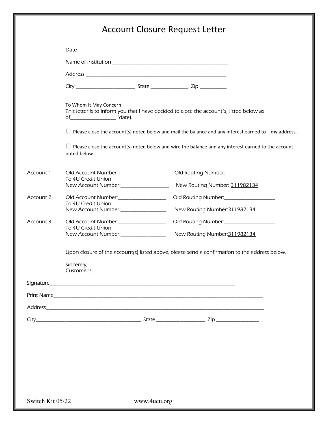#### Account Closure Request Letter

|                  | To Whom It May Concern<br>of_________________________ (date). |              | This letter is to inform you that I have decided to close the account(s) listed below as |                                                                                                            |
|------------------|---------------------------------------------------------------|--------------|------------------------------------------------------------------------------------------|------------------------------------------------------------------------------------------------------------|
|                  |                                                               |              |                                                                                          | $\Box$ Please close the account(s) noted below and mail the balance and any interest earned to my address. |
|                  | noted below.                                                  |              |                                                                                          | $\Box$ Please close the account(s) noted below and wire the balance and any interest earned to the account |
| Account 1        | Old Account Number:__________________<br>To 4U Credit Union   |              |                                                                                          |                                                                                                            |
|                  | New Account Number:                                           |              | New Routing Number: 311982134                                                            |                                                                                                            |
| Account 2        | Old Account Number:__________________                         |              | Old Routing Number:_____________________                                                 |                                                                                                            |
|                  | To 4U Credit Union<br>New Account Number:                     |              | New Routing Number: 311982134                                                            |                                                                                                            |
| Account 3        |                                                               |              | Old Routing Number:___________________                                                   |                                                                                                            |
|                  | To 4U Credit Union<br>New Account Number:                     |              | New Routing Number: 311982134                                                            |                                                                                                            |
|                  |                                                               |              |                                                                                          | Upon closure of the account(s) listed above, please send a confirmation to the address below.              |
|                  | Sincerely,<br>Customer's                                      |              |                                                                                          |                                                                                                            |
|                  |                                                               |              |                                                                                          |                                                                                                            |
|                  |                                                               |              |                                                                                          |                                                                                                            |
|                  |                                                               |              |                                                                                          |                                                                                                            |
|                  |                                                               |              |                                                                                          |                                                                                                            |
|                  |                                                               |              |                                                                                          |                                                                                                            |
|                  |                                                               |              |                                                                                          |                                                                                                            |
|                  |                                                               |              |                                                                                          |                                                                                                            |
|                  |                                                               |              |                                                                                          |                                                                                                            |
|                  |                                                               |              |                                                                                          |                                                                                                            |
|                  |                                                               |              |                                                                                          |                                                                                                            |
| Switch Kit 05/22 |                                                               | www.4ucu.org |                                                                                          |                                                                                                            |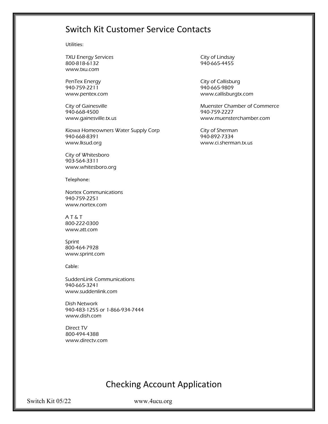#### Switch Kit Customer Service Contacts

Utilities:

TXU Energy Services **City of Lindsay** 800-818-6132 940-665-4455 www.txu.com

940-759-2211 940-665-9809

940-668-4500 940-759-2227

Kiowa Homeowners Water Supply Corp City of Sherman 940-668-8391 940-892-7334 www.lksud.org www.ci.sherman.tx.us

City of Whitesboro 903-564-3311 www.whitesboro.org

Telephone:

Nortex Communications 940-759-2251 www.nortex.com

A T & T 800-222-0300 www.att.com

Sprint 800-464-7928 www.sprint.com

Cable:

SuddenLink Communications 940-665-3241 www.suddenlink.com

Dish Network 940-483-1255 or 1-866-934-7444 www.dish.com

Direct TV 800-494-4388 www.directv.com

PenTex Energy **City of Callisburg** www.pentex.com www.callisburgtx.com

City of Gainesville **Muenter Chamber of Commerce** Muenster Chamber of Commerce www.gainesville.tx.us www.muensterchamber.com

#### Checking Account Application

Switch Kit 05/22 www.4ucu.org